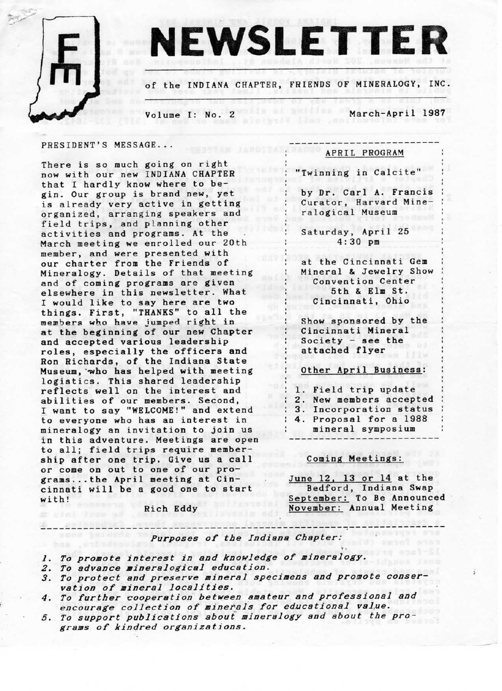

# NEWSLETTER

of the INDIANA CHAPTER, FRIENDS 0F MINERALOGY, INC.

Volume I: No. 2 March-April 1987

#### PRESIDENT'S MESSAGE. . .

There is so much going on right now with our new INDIANA CHAPTER that I hardly know where to begin. Our group is brand new, yet is already very active in getting organized, arranging speakers and field trips, and planning other activities and programs. At the March meeting we enrolled our 20th member, and were presented with our charter from the Friends of Mineralogy. Details of that meeting and of coming programs are given elsewhere in this newsletter. What I would like to say here are two things. First, "THANES" to all the members who have jumped right in at the beginning of our new Chapter and accepted various leadership roles, especially the officers and Ron Richards, of the Indiana State Museum, `who has helped with meeting logistics. This shared leadership reflects well on the interest and abilities of our members. Second. I want to say "WELCOME!" and extend to everyone who has an interest in mineralogy an invitation to join us in this adventure. Meetings are open to all; field trips require membership after one trip. Give us a call or come on out to one of our programs...the April meeting at Cincinnati will be a good one to start with!

Rich Eddy

#### APRIL PROGRAM

"Twinning in Calcite"

by Dr. Carl A. Francis Curator, Harvard Mineralogical Museum

Saturday, April 25  $4:30$  pm

at the Cincinnati Gen Mineral & Jewelry Show Convention Center 5th & Elm St. Cincinnati, Ohio

Show sponsored by the Cincinnati Mineral Society - see the attached flyer

Other April Business:

1. Field trip update

2. New members accepted

3. Incorporation status

4. Proposal for a 1988 mineral symposium

#### Coming Meetings:

}`,

June 12. 13 or 14 at the Bedford, Indiana Swap September: To Be Announced November: Annual Meeting

Purposes of the Indiana Chapter:

\_\_-\_\_\_\_\_----------------------------.--.----.-------------------------\_-\_

- 1. To promote interest in and knowledge of mineralogy.
- 2. To advance mineralogical education.
- 3. To protect and preserve mineral specimens and promote conser vation of mineral localities.
- 4. To further cooperation between amateur and professional and encourage collection of minerals for educational value.
- 5. To support publications about mineralogy and about the programs of kindred organizations.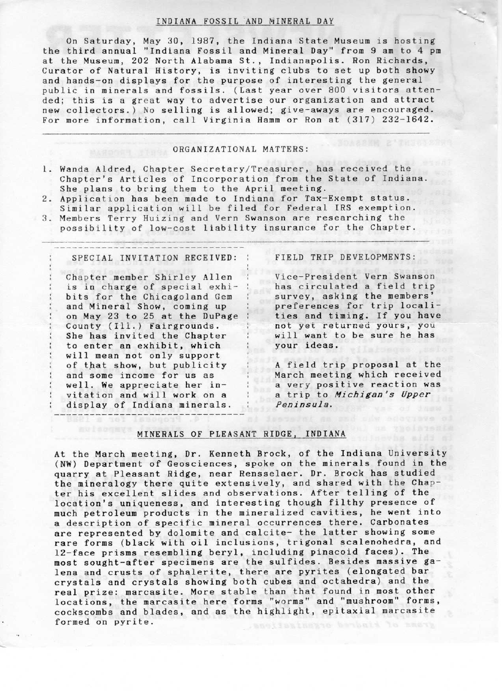#### INDIANA FOSSIL AND MINERAL DAY

On Saturday, May 30, 1987, the Indiana State Museum is hosting the third annual "Indiana Fossil and Mineral Day" from 9 am to 4 pm at the Museum, 202 North Alabama St., Indianapolis. Ron Richards, Curator of Natural History. is inviting clubs to set up both showy and hands-on displays for the purpose of interesting the general public in minerals and fossils. (Last year over 800 visitors attended; this is a great way to advertise our organization and attract new collectors.) No selling is allowed; give-aways are encouraged. For more information, call Virginia Hamm or Ron at (317) 232-1642.

#### ORGANIZATIONAL MATTERS:

- i. Wanda Aldred, Chapter Secretary/Treasurer, has received the Chapter's Articles of Incorporation from the State of Indiana. She plans to bring them to the April meeting.
- 2. Application has been made to Indiana for Tax-Exempt status. Similar application will be filed for Federal IRS exemption.
- 3. Members Terry Huizing and Vern Swanson are researching the possibility of low-cost liability insurance for the Chapter.

#### SPECIAL INVITATION RECEIVED:

Chapter member Shirley Allen is in charge of special exhibits for the Chicagoland Gem and Mineral Show, coming up on May 23 to 25 at the Bupage County (Ili.) Fairgrounds. She has invited the Chapter to enter an exhibit, which will mean not only support of that show, but publicity and some income for us as well. We appreciate her invitation and will work on a display of Indiana minerals.

### FIELD TRIP DEVELOPMENTS:

Vice-President Vern Swanson has circulated a field trip survey, asking the members' preferences for trip localities and timing. If you have not yet returned yours, you will want to be sure he has your ideas.

A field trip proposal at the March meeting which received a very positive reaction was a trip to Michigan's Upper. Peninsula.

# MINERALS OF PLEASANT RIDGE, INDIANA

At the March meeting, Dr. Kenneth Brock, of the Indiana University (NW) Department of Geosciences, spoke on the minerals found in the quarry at Pleasant Ridge, near Rensselaer. Dr.. Brock has studied the mineralogy there quite extensively, and shared with the Chapter his excellent slides and observations. After telling of the location's uniqueness, and interesting though filthy presence of much petroleum products in the mineralized cavities, he went into a description of specific mineral occurrences there. Carbonates are represented by dolomite and calcite- the latter showing some rare forms (black with oil inclusions, trigonal scalenohedra, and 12-face prisms resembling beryl, including pinacoid faces). The most sought-after specimens are the sulfides. Besides massive galena and crusts of sphalerite, there are pyrites (elongated bar crystals and crystals showing both cubes and octahedra) and the real prize: marcasite. More stable than that found in most other locations, the marcasite here forms "worms" and "mushroom" forms, cockscombs and blades, and as the highlight, epitaxial marcasite formed on pyrite.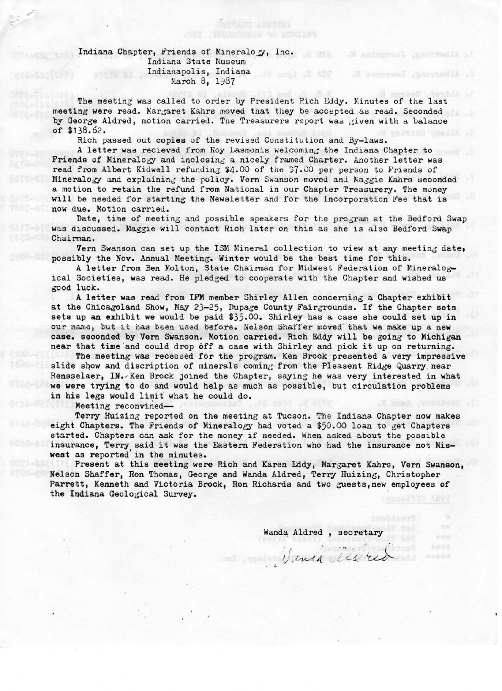#### Indiana Chapter, Friends of Mineralogy, Inc. Indiana State Museum Indianapolis, Indiana March 8, 1987

The meeting was called to order by President Rich Eddy. Minutes of the last meeting were read. Margaret Kahrs moved that they be accepted as read. Seconded by George Aldred, motion carried. The Treasurers report was given with a balance of \$138.62.

**STO** 

Rich passed out copies of the revised Constitution and By-laws.

A letter was recieved from Roy Lasmonis welcoming the Indiana Chapter to Friends of Mineralogy and inclosing a nicely framed Charter. Another letter was read from Albert Kidwell refunding \$4.00 of the \$7.00 per person to Friends of Mineralogy and explaining the policy. Vern Swanson moved and Naggie Kahrs seconded a motion to retain the refund from National in our Chapter Treasurery. The money will be needed for starting the Newsletter and for the Incorporation Fee that is now due. Motion carried.

Date, time of meeting and possible speakers for the program at the Bedford Swap was discussed. Maggie will contact Rich later on this as she is also Bedford Swap Chairman.

Vern Swanson can set up the ISM Mineral collection to view at any meeting date, possibly the Nov. Annual Meeting. Winter would be the best time for this.

A letter from Ben Molton, State Chairman for Midwest Federation of Mineralogical Societies, was read. He pledged to cooperate with the Chapter and wished us good luck.

A letter was read from IFM member Shirley Allen concerning a Chapter exhibit at the Chicagoland Show, May 23-25, Dupage County Fairgrounds. If the Chapter sets sets up an exhibit we would be paid \$35.00. Shirley has a case she could set up in our name, but it has been used before. Nelson Shaffer moved that we make up a new case. seconded by Vern Swanson. Motion carried. Rich Eddy will be going to Michigan near that time and could drop off a case with Shirley and pick it up on returning.

The meeting was recessed for the program. Ken Brock presented a very impressive slide show and discription of minerals coming from the Pleasent Ridge Quarry near Rensselaer, IN. Ken Brock joined the Chapter, saying he was very interested in what we were trying to do and would help as much as possible, but circulation problems in his legs would limit what he could do.

Meeting reconvined-

Terry Huizing reported on the meeting at Tucson. The Indiana Chapter now makes eight Chapters. The Friends of Mineralogy had voted a \$50.00 loan to get Chapters started. Chapters can ask for the money if needed. When asked about the possible insurance, Terry said it was the Eastern Federation who had the insurance not Miswest as reported in the minutes.

Present at this meeting were Rich and Karen Eddy, Margaret Kahrs, Vern Swanson, Nelson Shaffer, Ron Thomas, George and Wanda Aldred, Terry Huizing, Christopher Parrett, Kenneth and Victoria Brock, Ron Richards and two guests, new employees of the Indiana Geological Survey.

Wanda Aldred, secretary

Venda alexio

 $\sim$ 

 $-1.1$